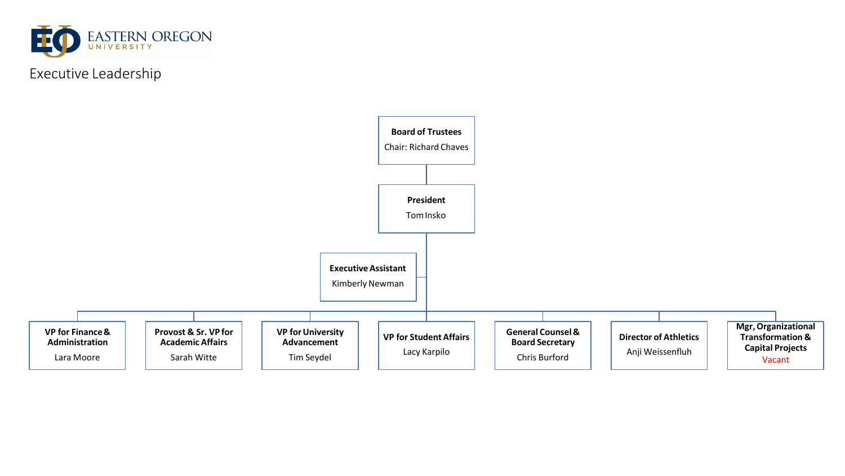

Executive Leadership

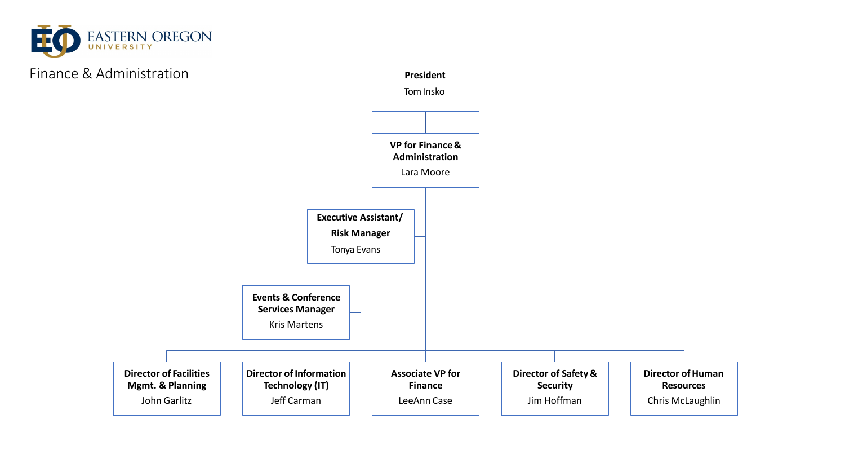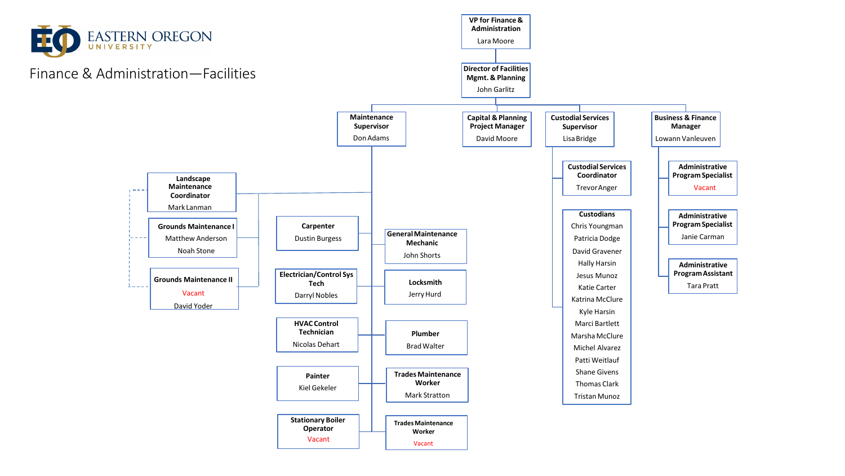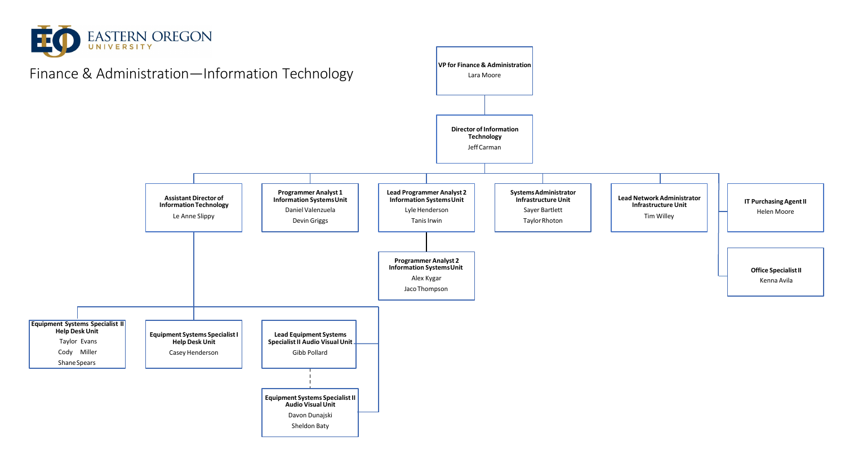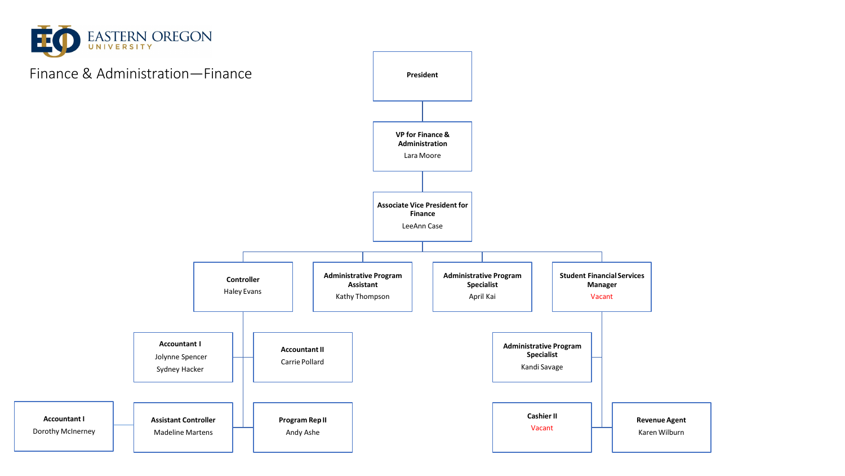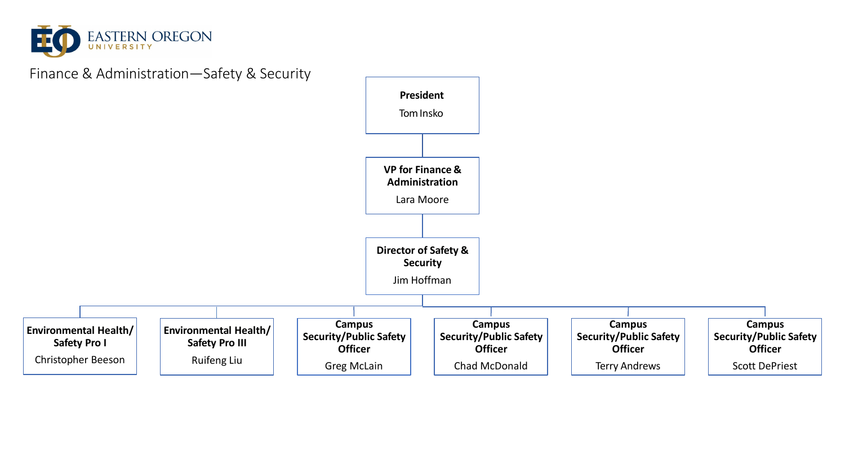

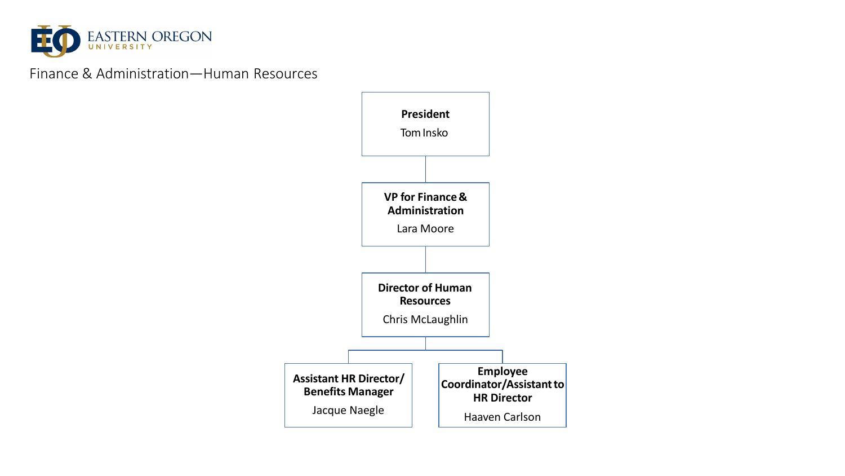

## Finance & Administration—Human Resources

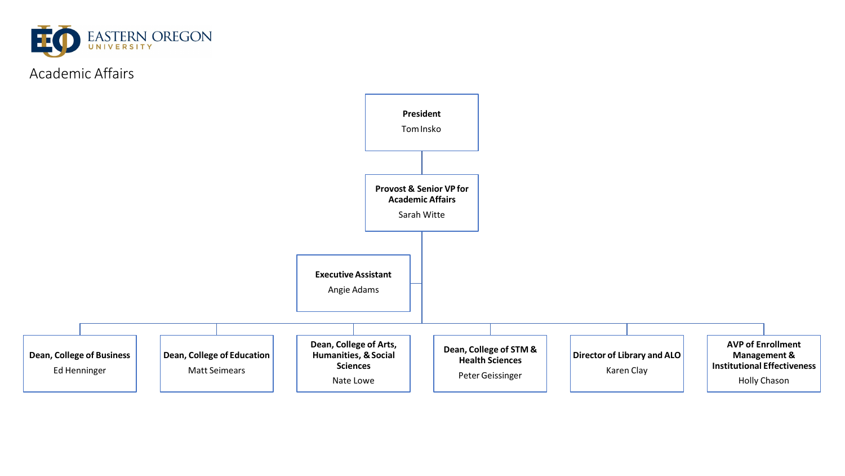

Academic Affairs

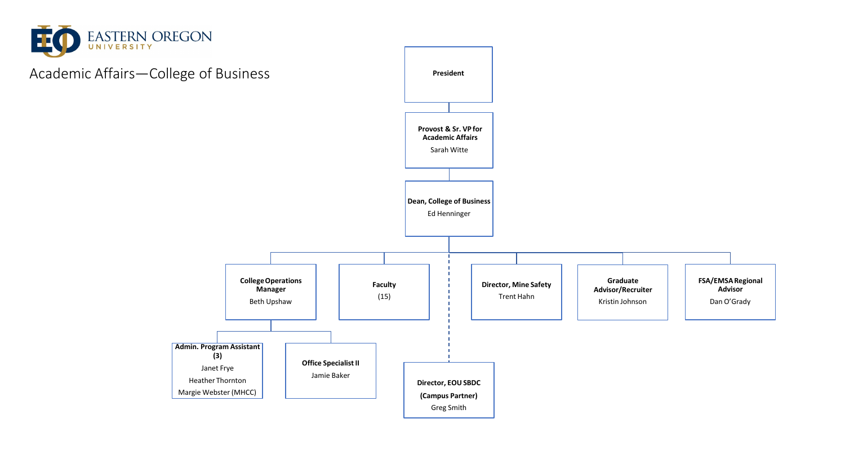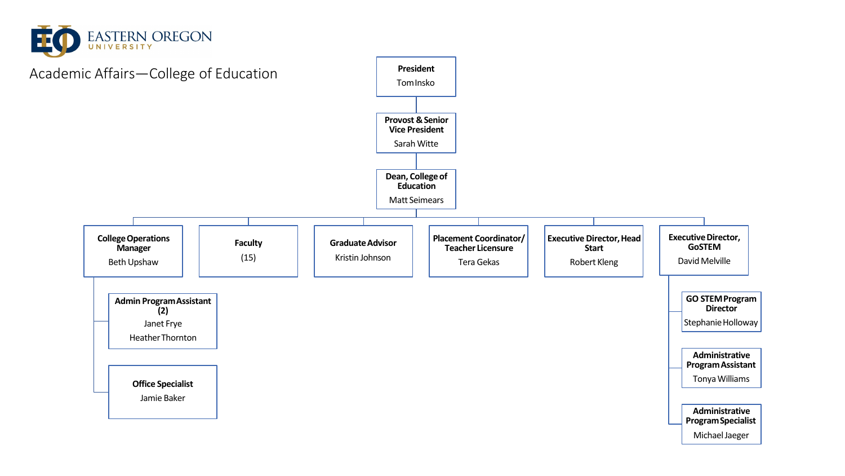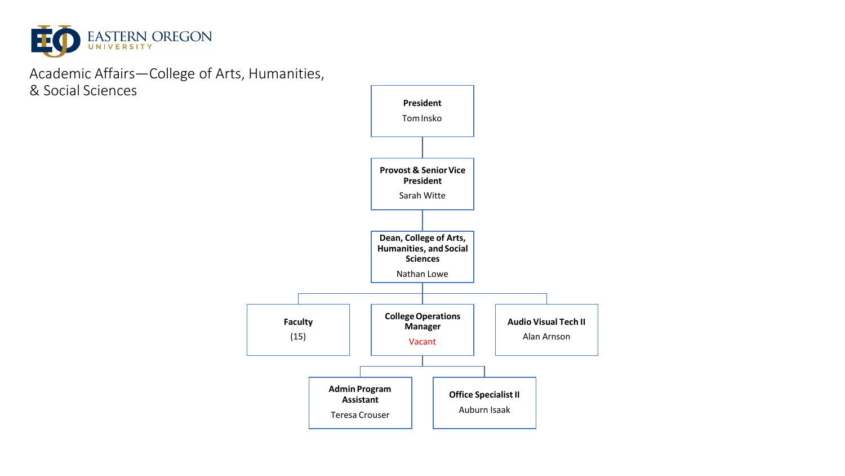

## Academic Affairs—College of Arts, Humanities, & Social Sciences

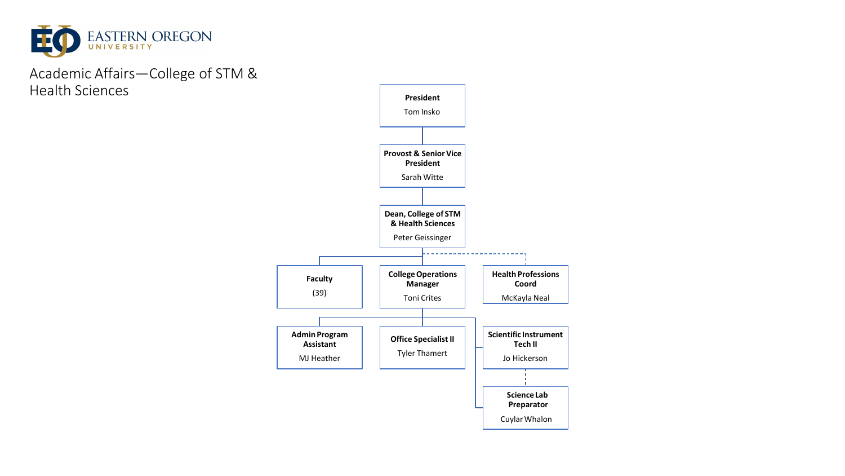![](_page_11_Picture_0.jpeg)

Academic Affairs—College of STM & **Health Sciences President** 

![](_page_11_Figure_2.jpeg)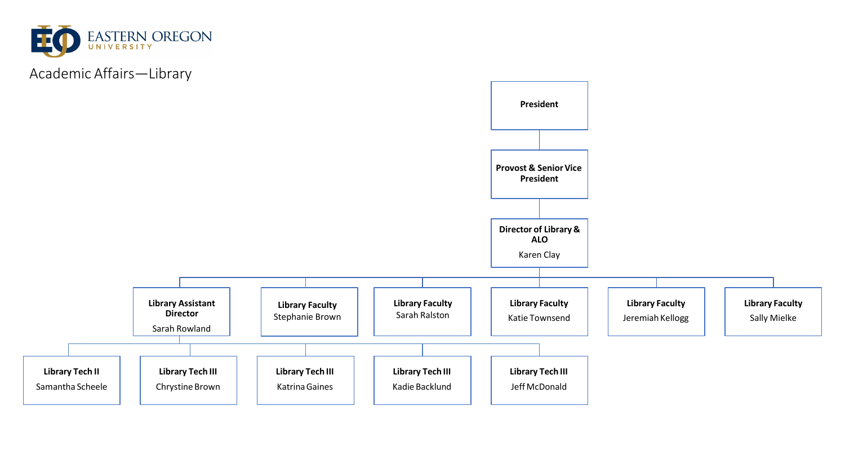![](_page_12_Picture_0.jpeg)

![](_page_12_Figure_1.jpeg)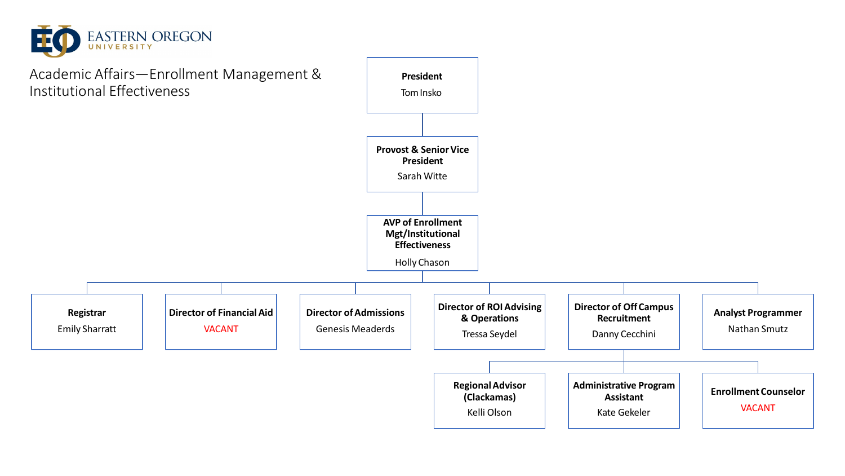![](_page_13_Figure_0.jpeg)

Academic Affairs—Enrollment Management & Institutional Effectiveness

![](_page_13_Figure_2.jpeg)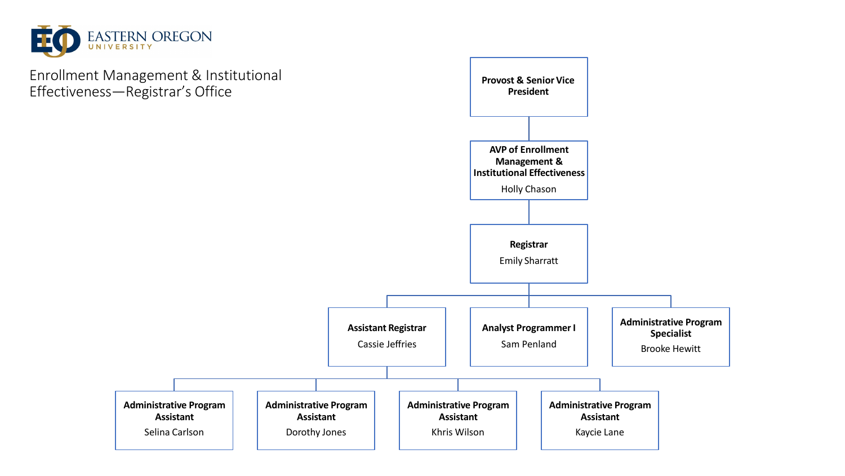![](_page_14_Picture_0.jpeg)

Enrollment Management & Institutional Effectiveness—Registrar's Office

![](_page_14_Figure_2.jpeg)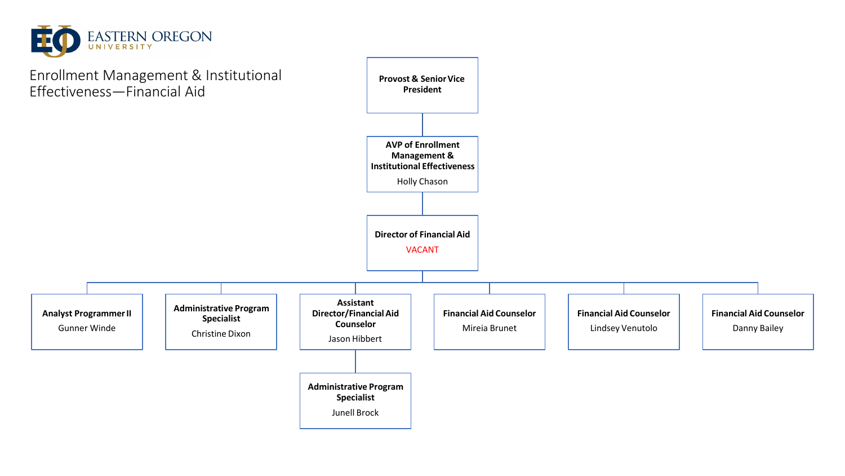![](_page_15_Picture_0.jpeg)

![](_page_15_Figure_1.jpeg)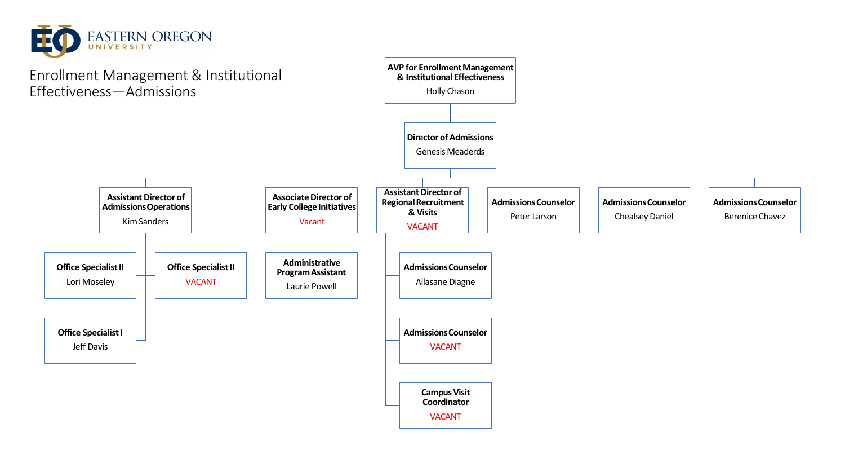![](_page_16_Picture_0.jpeg)

![](_page_16_Figure_1.jpeg)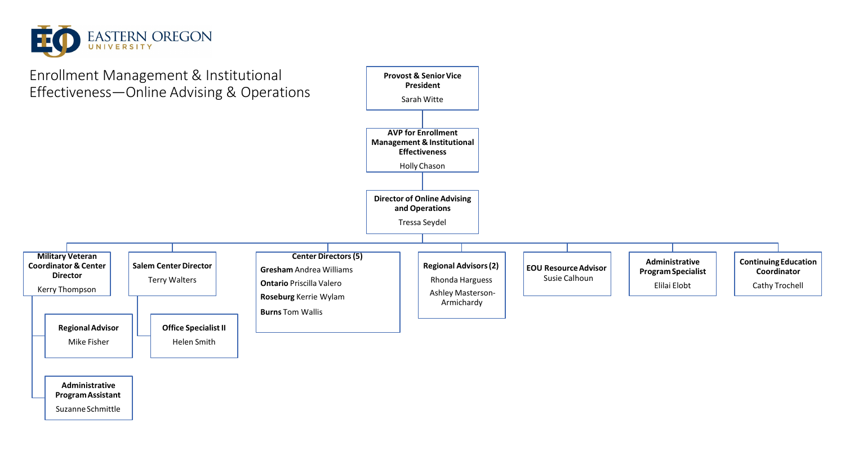![](_page_17_Picture_0.jpeg)

![](_page_17_Figure_1.jpeg)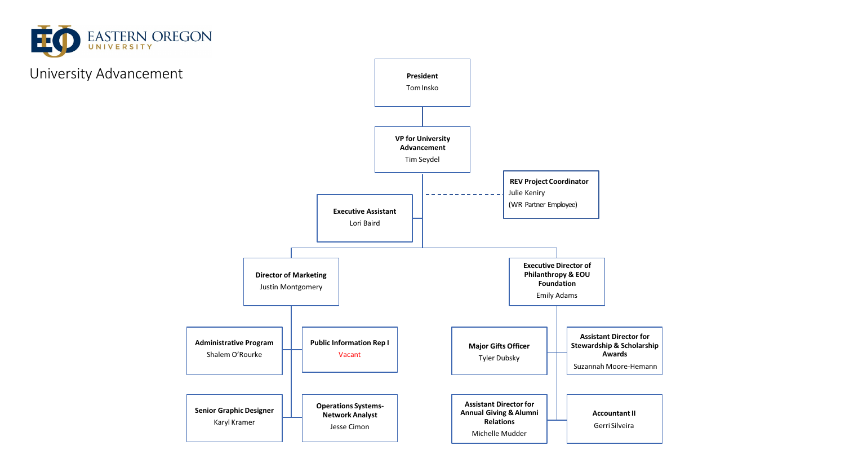![](_page_18_Figure_0.jpeg)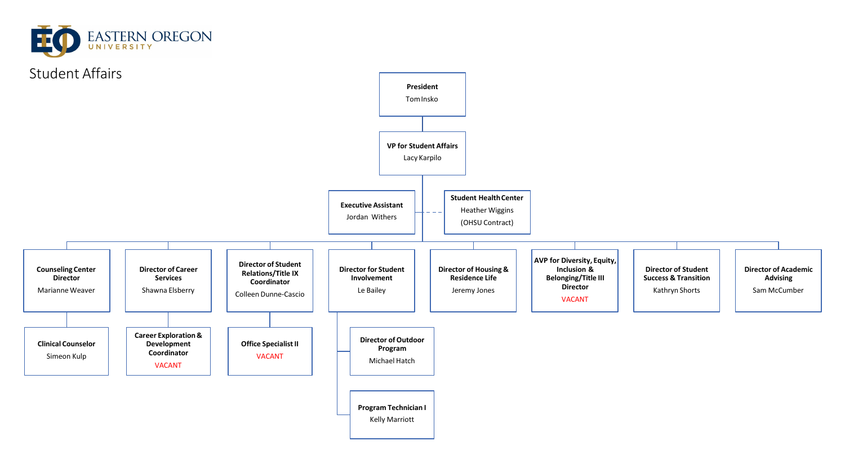![](_page_19_Figure_0.jpeg)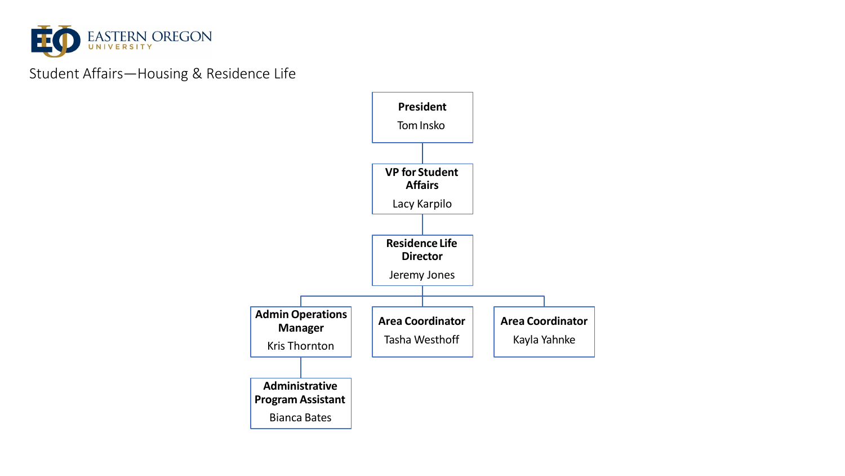![](_page_20_Picture_0.jpeg)

Student Affairs—Housing & Residence Life

![](_page_20_Figure_2.jpeg)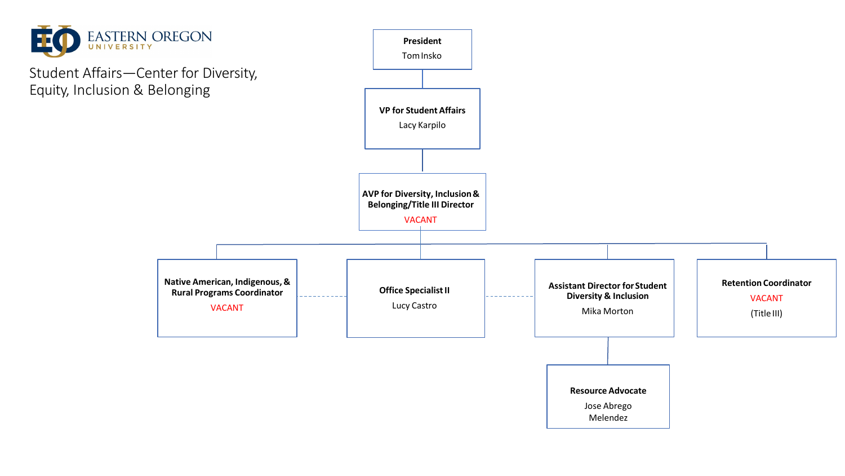![](_page_21_Picture_0.jpeg)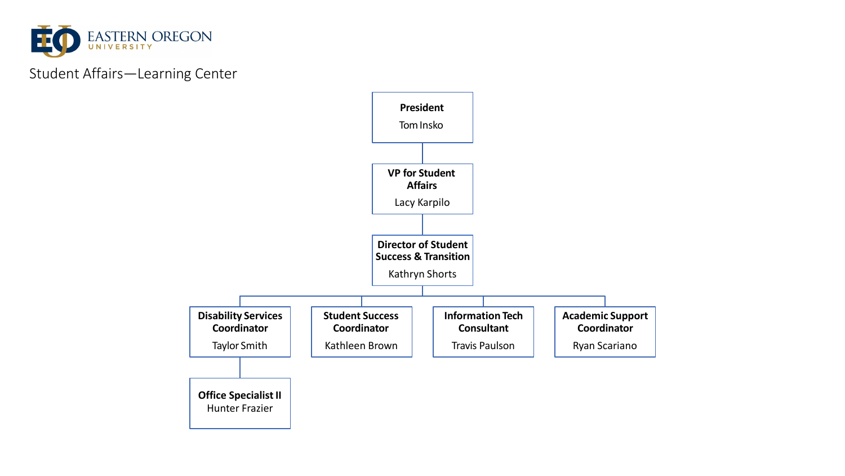![](_page_22_Picture_0.jpeg)

Student Affairs—Learning Center

![](_page_22_Figure_2.jpeg)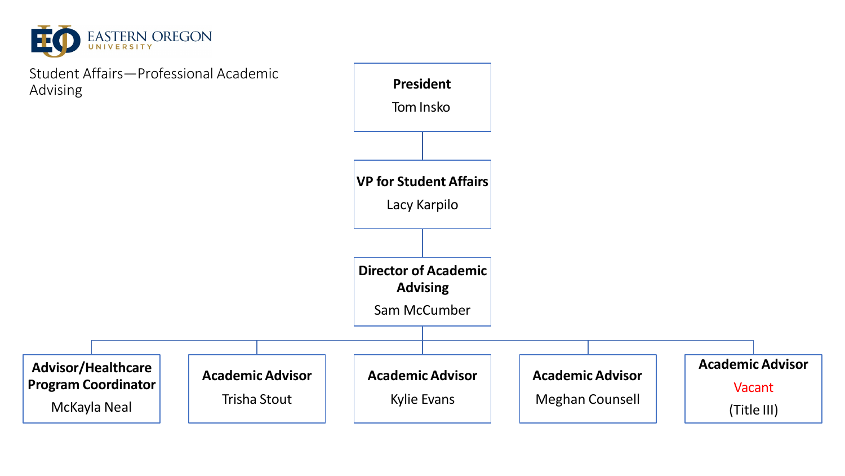![](_page_23_Picture_0.jpeg)

McKayla Neal

Student Affairs—Professional Academic

![](_page_23_Figure_2.jpeg)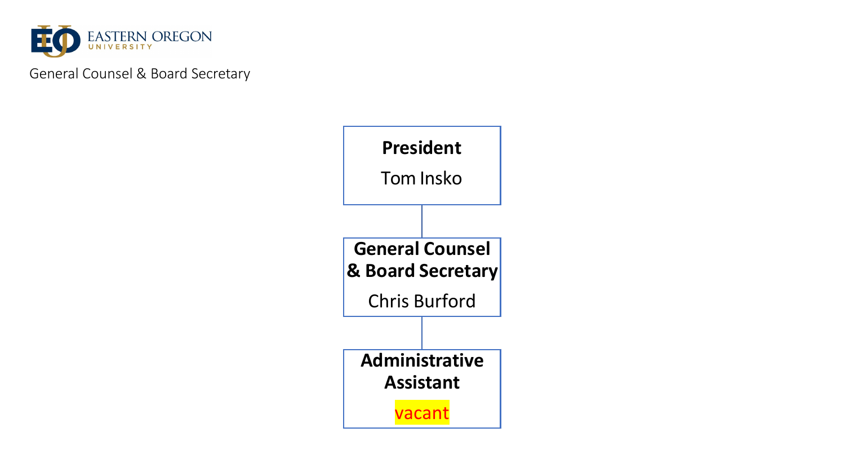![](_page_24_Picture_0.jpeg)

General Counsel & Board Secretary

![](_page_24_Figure_2.jpeg)